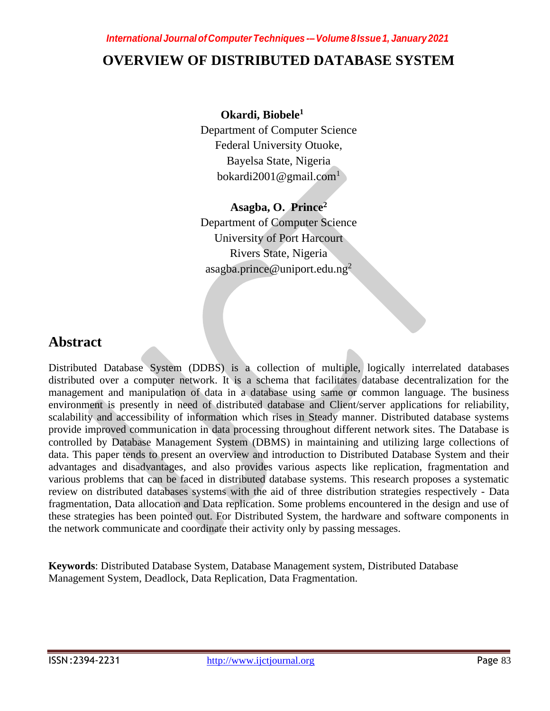# **OVERVIEW OF DISTRIBUTED DATABASE SYSTEM**

# **Okardi, Biobele<sup>1</sup>**

Department of Computer Science Federal University Otuoke, Bayelsa State, Nigeria [bokardi2001@gmail.com](mailto:bokardi2001@gmail.com1)<sup>1</sup>

**Asagba, O. Prince<sup>2</sup>** Department of Computer Science University of Port Harcourt Rivers State, Nigeria [asagba.prince@uniport.edu.ng](mailto:asagba.prince@uniport.edu.ng2)<sup>2</sup>

# **Abstract**

Distributed Database System (DDBS) is a collection of multiple, logically interrelated databases distributed over a computer network. It is a schema that facilitates database decentralization for the management and manipulation of data in a database using same or common language. The business environment is presently in need of distributed database and Client/server applications for reliability, scalability and accessibility of information which rises in Steady manner. Distributed database systems provide improved communication in data processing throughout different network sites. The Database is controlled by Database Management System (DBMS) in maintaining and utilizing large collections of data. This paper tends to present an overview and introduction to Distributed Database System and their advantages and disadvantages, and also provides various aspects like replication, fragmentation and various problems that can be faced in distributed database systems. This research proposes a systematic review on distributed databases systems with the aid of three distribution strategies respectively - Data fragmentation, Data allocation and Data replication. Some problems encountered in the design and use of these strategies has been pointed out. For Distributed System, the hardware and software components in the network communicate and coordinate their activity only by passing messages.

**Keywords**: Distributed Database System, Database Management system, Distributed Database Management System, Deadlock, Data Replication, Data Fragmentation.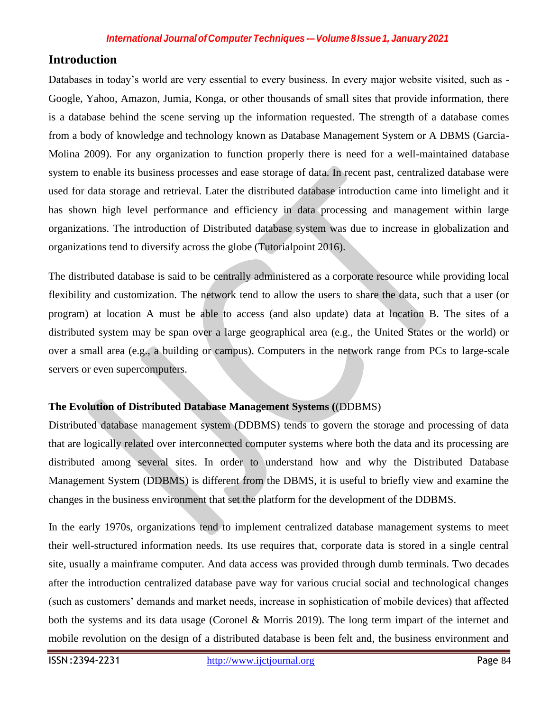# **Introduction**

Databases in today's world are very essential to every business. In every major website visited, such as - Google, Yahoo, Amazon, Jumia, Konga, or other thousands of small sites that provide information, there is a database behind the scene serving up the information requested. The strength of a database comes from a body of knowledge and technology known as Database Management System or A DBMS (Garcia-Molina 2009). For any organization to function properly there is need for a well-maintained database system to enable its business processes and ease storage of data. In recent past, centralized database were used for data storage and retrieval. Later the distributed database introduction came into limelight and it has shown high level performance and efficiency in data processing and management within large organizations. The introduction of Distributed database system was due to increase in globalization and organizations tend to diversify across the globe (Tutorialpoint 2016).

The distributed database is said to be centrally administered as a corporate resource while providing local flexibility and customization. The network tend to allow the users to share the data, such that a user (or program) at location A must be able to access (and also update) data at location B. The sites of a distributed system may be span over a large geographical area (e.g., the United States or the world) or over a small area (e.g., a building or campus). Computers in the network range from PCs to large-scale servers or even supercomputers.

#### **The Evolution of Distributed Database Management Systems (**(DDBMS)

Distributed database management system (DDBMS) tends to govern the storage and processing of data that are logically related over interconnected computer systems where both the data and its processing are distributed among several sites. In order to understand how and why the Distributed Database Management System (DDBMS) is different from the DBMS, it is useful to briefly view and examine the changes in the business environment that set the platform for the development of the DDBMS.

In the early 1970s, organizations tend to implement centralized database management systems to meet their well-structured information needs. Its use requires that, corporate data is stored in a single central site, usually a mainframe computer. And data access was provided through dumb terminals. Two decades after the introduction centralized database pave way for various crucial social and technological changes (such as customers' demands and market needs, increase in sophistication of mobile devices) that affected both the systems and its data usage (Coronel & Morris 2019). The long term impart of the internet and mobile revolution on the design of a distributed database is been felt and, the business environment and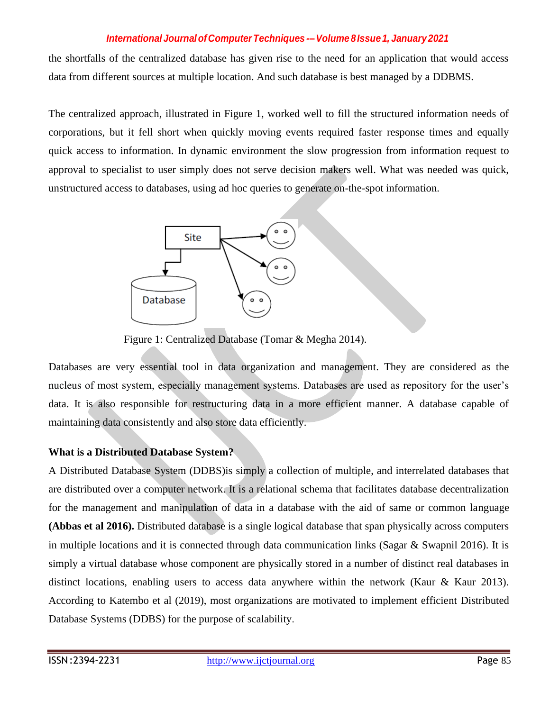the shortfalls of the centralized database has given rise to the need for an application that would access data from different sources at multiple location. And such database is best managed by a DDBMS.

The centralized approach, illustrated in Figure 1, worked well to fill the structured information needs of corporations, but it fell short when quickly moving events required faster response times and equally quick access to information. In dynamic environment the slow progression from information request to approval to specialist to user simply does not serve decision makers well. What was needed was quick, unstructured access to databases, using ad hoc queries to generate on-the-spot information.



Figure 1: Centralized Database (Tomar & Megha 2014).

Databases are very essential tool in data organization and management. They are considered as the nucleus of most system, especially management systems. Databases are used as repository for the user's data. It is also responsible for restructuring data in a more efficient manner. A database capable of maintaining data consistently and also store data efficiently.

# **What is a Distributed Database System?**

A Distributed Database System (DDBS)is simply a collection of multiple, and interrelated databases that are distributed over a computer network. It is a relational schema that facilitates database decentralization for the management and manipulation of data in a database with the aid of same or common language **(Abbas et al 2016).** Distributed database is a single logical database that span physically across computers in multiple locations and it is connected through data communication links (Sagar & Swapnil 2016). It is simply a virtual database whose component are physically stored in a number of distinct real databases in distinct locations, enabling users to access data anywhere within the network (Kaur & Kaur 2013). According to Katembo et al (2019), most organizations are motivated to implement efficient Distributed Database Systems (DDBS) for the purpose of scalability.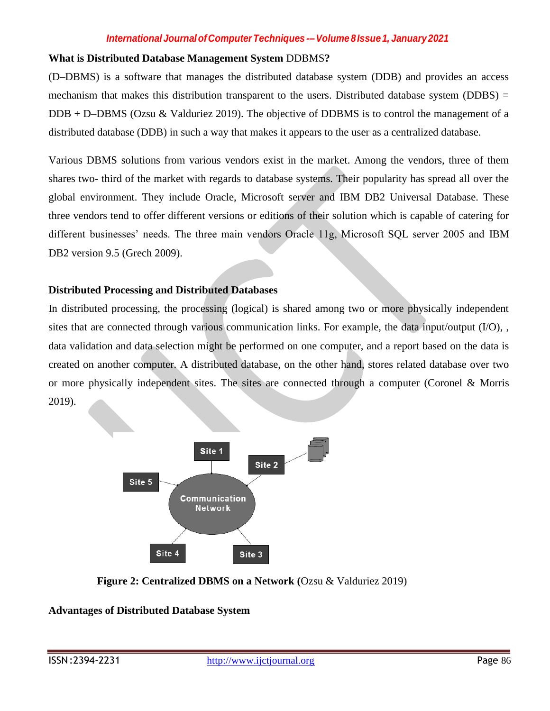#### **What is Distributed Database Management System** DDBMS**?**

(D–DBMS) is a software that manages the distributed database system (DDB) and provides an access mechanism that makes this distribution transparent to the users. Distributed database system (DDBS)  $=$  $DDB + D-DBMS$  (Ozsu & Valduriez 2019). The objective of DDBMS is to control the management of a distributed database (DDB) in such a way that makes it appears to the user as a centralized database.

Various DBMS solutions from various vendors exist in the market. Among the vendors, three of them shares two- third of the market with regards to database systems. Their popularity has spread all over the global environment. They include Oracle, Microsoft server and IBM DB2 Universal Database. These three vendors tend to offer different versions or editions of their solution which is capable of catering for different businesses' needs. The three main vendors Oracle 11g, Microsoft SQL server 2005 and IBM DB2 version 9.5 (Grech 2009).

#### **Distributed Processing and Distributed Databases**

In distributed processing, the processing (logical) is shared among two or more physically independent sites that are connected through various communication links. For example, the data input/output  $(I/O)$ , data validation and data selection might be performed on one computer, and a report based on the data is created on another computer. A distributed database, on the other hand, stores related database over two or more physically independent sites. The sites are connected through a computer (Coronel & Morris 2019).



**Figure 2: Centralized DBMS on a Network (**Ozsu & Valduriez 2019)

#### **Advantages of Distributed Database System**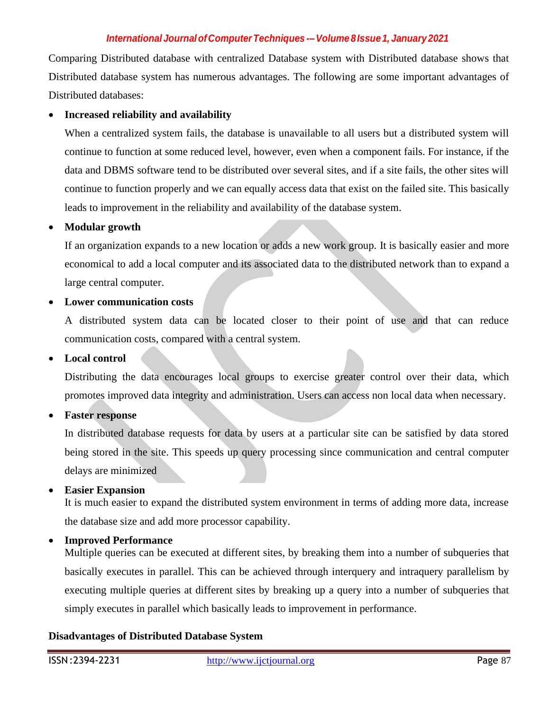Comparing Distributed database with centralized Database system with Distributed database shows that Distributed database system has numerous advantages. The following are some important advantages of Distributed databases:

### • **Increased reliability and availability**

When a centralized system fails, the database is unavailable to all users but a distributed system will continue to function at some reduced level, however, even when a component fails. For instance, if the data and DBMS software tend to be distributed over several sites, and if a site fails, the other sites will continue to function properly and we can equally access data that exist on the failed site. This basically leads to improvement in the reliability and availability of the database system.

#### • **Modular growth**

If an organization expands to a new location or adds a new work group. It is basically easier and more economical to add a local computer and its associated data to the distributed network than to expand a large central computer.

#### • **Lower communication costs**

A distributed system data can be located closer to their point of use and that can reduce communication costs, compared with a central system.

# • **Local control**

Distributing the data encourages local groups to exercise greater control over their data, which promotes improved data integrity and administration. Users can access non local data when necessary.

# • **Faster response**

In distributed database requests for data by users at a particular site can be satisfied by data stored being stored in the site. This speeds up query processing since communication and central computer delays are minimized

#### • **Easier Expansion**

It is much easier to expand the distributed system environment in terms of adding more data, increase the database size and add more processor capability.

# • **Improved Performance**

Multiple queries can be executed at different sites, by breaking them into a number of subqueries that basically executes in parallel. This can be achieved through interquery and intraquery parallelism by executing multiple queries at different sites by breaking up a query into a number of subqueries that simply executes in parallel which basically leads to improvement in performance.

#### **Disadvantages of Distributed Database System**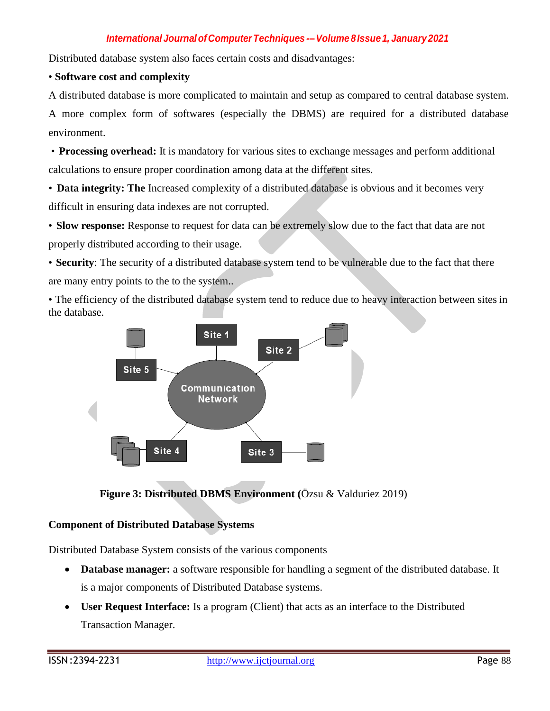Distributed database system also faces certain costs and disadvantages:

#### • **Software cost and complexity**

A distributed database is more complicated to maintain and setup as compared to central database system. A more complex form of softwares (especially the DBMS) are required for a distributed database environment.

• **Processing overhead:** It is mandatory for various sites to exchange messages and perform additional calculations to ensure proper coordination among data at the different sites.

• **Data integrity: The** Increased complexity of a distributed database is obvious and it becomes very difficult in ensuring data indexes are not corrupted.

• **Slow response:** Response to request for data can be extremely slow due to the fact that data are not properly distributed according to their usage.

• **Security**: The security of a distributed database system tend to be vulnerable due to the fact that there are many entry points to the to the system..

• The efficiency of the distributed database system tend to reduce due to heavy interaction between sites in the database.



**Figure 3: Distributed DBMS Environment (**Özsu & Valduriez 2019)

# **Component of Distributed Database Systems**

Distributed Database System consists of the various components

- **Database manager:** a software responsible for handling a segment of the distributed database. It is a major components of Distributed Database systems.
- **User Request Interface:** Is a program (Client) that acts as an interface to the Distributed Transaction Manager.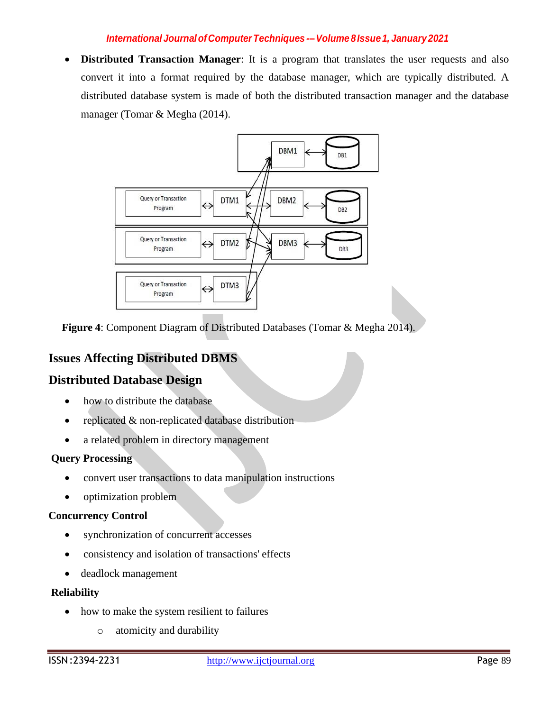**Distributed Transaction Manager**: It is a program that translates the user requests and also convert it into a format required by the database manager, which are typically distributed. A distributed database system is made of both the distributed transaction manager and the database manager (Tomar & Megha (2014).



**Figure 4**: Component Diagram of Distributed Databases (Tomar & Megha 2014).

# **Issues Affecting Distributed DBMS**

# **Distributed Database Design**

- how to distribute the database
- replicated & non-replicated database distribution
- a related problem in directory management

#### **Query Processing**

- convert user transactions to data manipulation instructions
- optimization problem

# **Concurrency Control**

- synchronization of concurrent accesses
- consistency and isolation of transactions' effects
- deadlock management

#### **Reliability**

- how to make the system resilient to failures
	- o atomicity and durability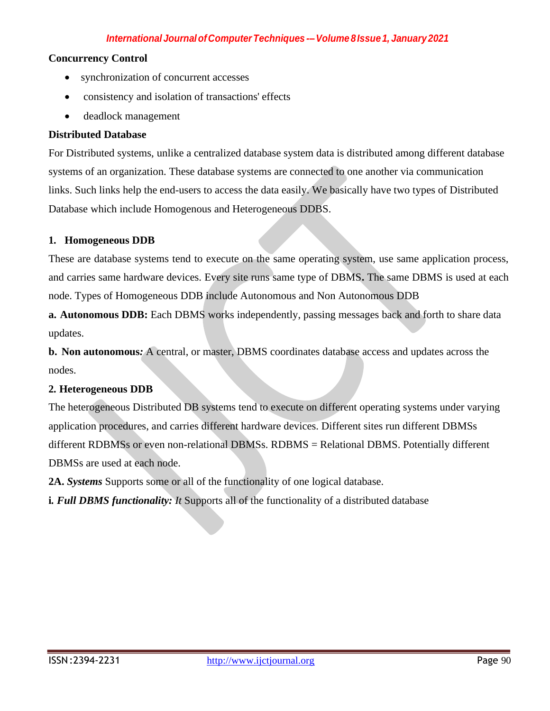#### **Concurrency Control**

- synchronization of concurrent accesses
- consistency and isolation of transactions' effects
- deadlock management

#### **Distributed Database**

For Distributed systems, unlike a centralized database system data is distributed among different database systems of an organization. These database systems are connected to one another via communication links. Such links help the end-users to access the data easily. We basically have two types of Distributed Database which include Homogenous and Heterogeneous DDBS.

#### **1. Homogeneous DDB**

These are database systems tend to execute on the same operating system, use same application process, and carries same hardware devices. Every site runs same type of DBMS**.** The same DBMS is used at each node. Types of Homogeneous DDB include Autonomous and Non Autonomous DDB

**a. Autonomous DDB:** Each DBMS works independently, passing messages back and forth to share data updates.

**b. Non autonomous***:* A central, or master, DBMS coordinates database access and updates across the nodes.

#### **2. Heterogeneous DDB**

The heterogeneous Distributed DB systems tend to execute on different operating systems under varying application procedures, and carries different hardware devices. Different sites run different DBMSs different RDBMSs or even non-relational DBMSs. RDBMS = Relational DBMS. Potentially different DBMSs are used at each node.

**2A.** *Systems* Supports some or all of the functionality of one logical database.

**i.** *Full DBMS functionality: It* Supports all of the functionality of a distributed database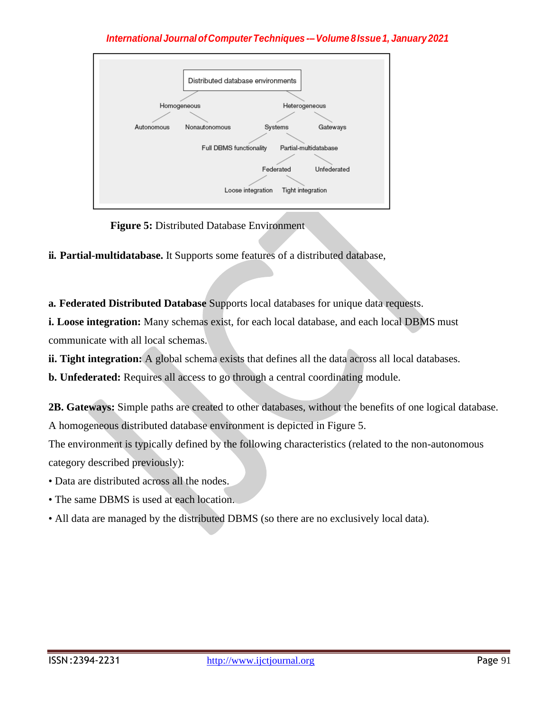

**Figure 5:** Distributed Database Environment

**ii. Partial-multidatabase.** It Supports some features of a distributed database,

**a. Federated Distributed Database** Supports local databases for unique data requests.

**i. Loose integration:** Many schemas exist, for each local database, and each local DBMS must communicate with all local schemas.

**ii. Tight integration:** A global schema exists that defines all the data across all local databases.

**b. Unfederated:** Requires all access to go through a central coordinating module.

**2B. Gateways:** Simple paths are created to other databases, without the benefits of one logical database. A homogeneous distributed database environment is depicted in Figure 5.

The environment is typically defined by the following characteristics (related to the non-autonomous category described previously):

- Data are distributed across all the nodes.
- The same DBMS is used at each location.
- All data are managed by the distributed DBMS (so there are no exclusively local data).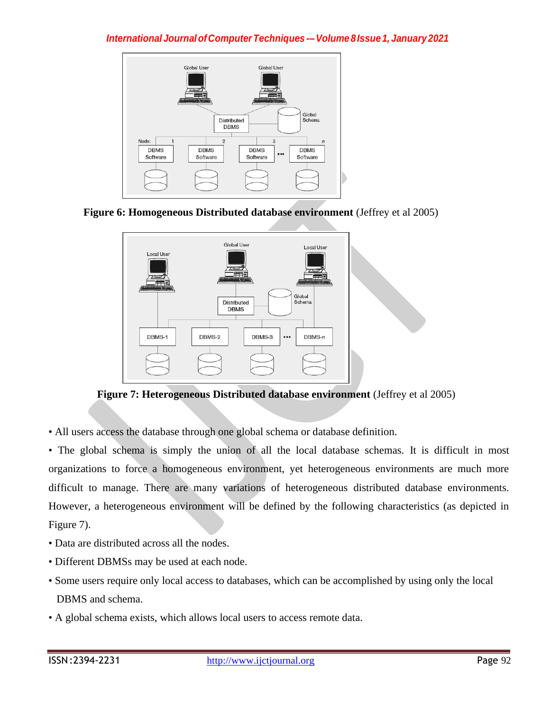

**Figure 6: Homogeneous Distributed database environment** (Jeffrey et al 2005)



**Figure 7: Heterogeneous Distributed database environment** (Jeffrey et al 2005)

• All users access the database through one global schema or database definition.

• The global schema is simply the union of all the local database schemas. It is difficult in most organizations to force a homogeneous environment, yet heterogeneous environments are much more difficult to manage. There are many variations of heterogeneous distributed database environments. However, a heterogeneous environment will be defined by the following characteristics (as depicted in Figure 7).

- Data are distributed across all the nodes.
- Different DBMSs may be used at each node.
- Some users require only local access to databases, which can be accomplished by using only the local DBMS and schema.
- A global schema exists, which allows local users to access remote data.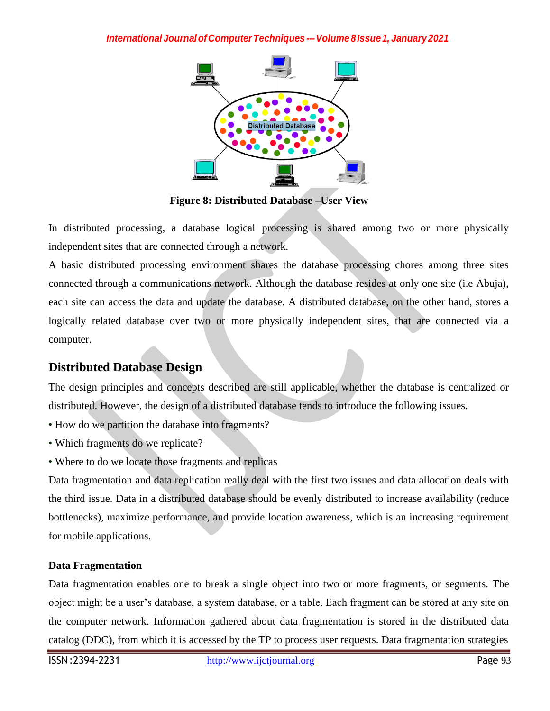

**Figure 8: Distributed Database –User View**

In distributed processing, a database logical processing is shared among two or more physically independent sites that are connected through a network.

A basic distributed processing environment shares the database processing chores among three sites connected through a communications network. Although the database resides at only one site (i.e Abuja), each site can access the data and update the database. A distributed database, on the other hand, stores a logically related database over two or more physically independent sites, that are connected via a computer.

# **Distributed Database Design**

The design principles and concepts described are still applicable, whether the database is centralized or distributed. However, the design of a distributed database tends to introduce the following issues.

- How do we partition the database into fragments?
- Which fragments do we replicate?
- Where to do we locate those fragments and replicas

Data fragmentation and data replication really deal with the first two issues and data allocation deals with the third issue. Data in a distributed database should be evenly distributed to increase availability (reduce bottlenecks), maximize performance, and provide location awareness, which is an increasing requirement for mobile applications.

# **Data Fragmentation**

Data fragmentation enables one to break a single object into two or more fragments, or segments. The object might be a user's database, a system database, or a table. Each fragment can be stored at any site on the computer network. Information gathered about data fragmentation is stored in the distributed data catalog (DDC), from which it is accessed by the TP to process user requests. Data fragmentation strategies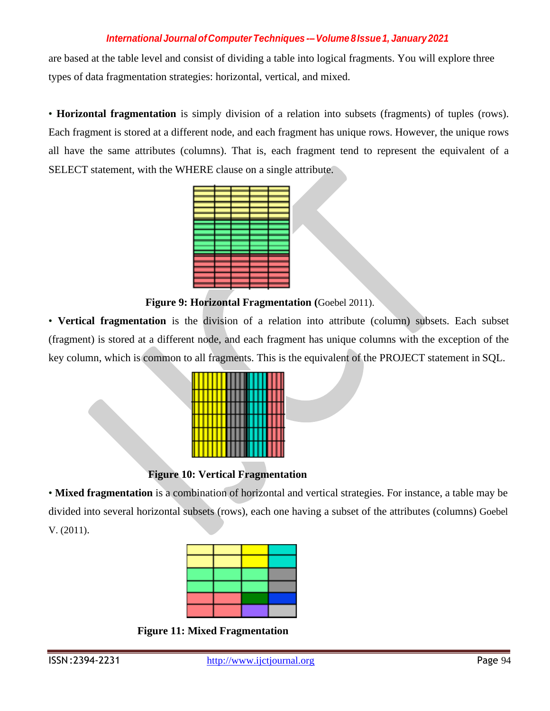are based at the table level and consist of dividing a table into logical fragments. You will explore three types of data fragmentation strategies: horizontal, vertical, and mixed.

• **Horizontal fragmentation** is simply division of a relation into subsets (fragments) of tuples (rows). Each fragment is stored at a different node, and each fragment has unique rows. However, the unique rows all have the same attributes (columns). That is, each fragment tend to represent the equivalent of a SELECT statement, with the WHERE clause on a single attribute.



**Figure 9: Horizontal Fragmentation (**Goebel 2011).

• **Vertical fragmentation** is the division of a relation into attribute (column) subsets. Each subset (fragment) is stored at a different node, and each fragment has unique columns with the exception of the key column, which is common to all fragments. This is the equivalent of the PROJECT statement in SQL.



**Figure 10: Vertical Fragmentation**

• **Mixed fragmentation** is a combination of horizontal and vertical strategies. For instance, a table may be divided into several horizontal subsets (rows), each one having a subset of the attributes (columns) Goebel V. (2011).



**Figure 11: Mixed Fragmentation**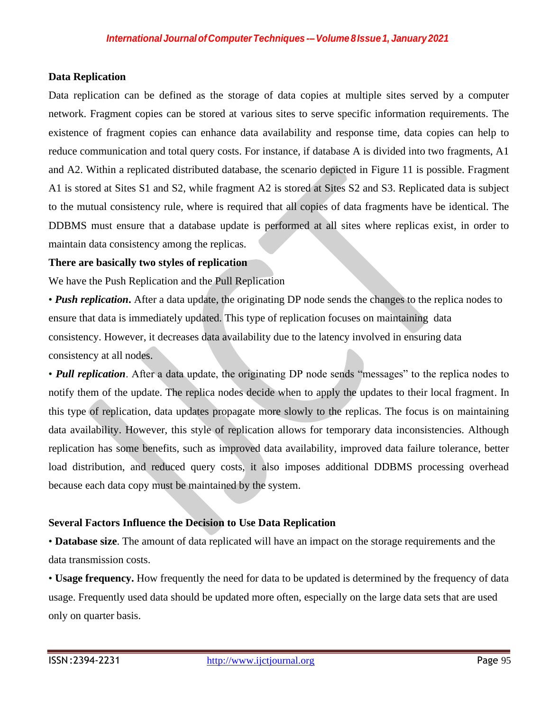# **Data Replication**

Data replication can be defined as the storage of data copies at multiple sites served by a computer network. Fragment copies can be stored at various sites to serve specific information requirements. The existence of fragment copies can enhance data availability and response time, data copies can help to reduce communication and total query costs. For instance, if database A is divided into two fragments, A1 and A2. Within a replicated distributed database, the scenario depicted in Figure 11 is possible. Fragment A1 is stored at Sites S1 and S2, while fragment A2 is stored at Sites S2 and S3. Replicated data is subject to the mutual consistency rule, where is required that all copies of data fragments have be identical. The DDBMS must ensure that a database update is performed at all sites where replicas exist, in order to maintain data consistency among the replicas.

# **There are basically two styles of replication**

We have the Push Replication and the Pull Replication

• **Push replication.** After a data update, the originating DP node sends the changes to the replica nodes to ensure that data is immediately updated. This type of replication focuses on maintaining data consistency. However, it decreases data availability due to the latency involved in ensuring data consistency at all nodes.

• **Pull replication**. After a data update, the originating DP node sends "messages" to the replica nodes to notify them of the update. The replica nodes decide when to apply the updates to their local fragment. In this type of replication, data updates propagate more slowly to the replicas. The focus is on maintaining data availability. However, this style of replication allows for temporary data inconsistencies. Although replication has some benefits, such as improved data availability, improved data failure tolerance, better load distribution, and reduced query costs, it also imposes additional DDBMS processing overhead because each data copy must be maintained by the system.

# **Several Factors Influence the Decision to Use Data Replication**

• **Database size**. The amount of data replicated will have an impact on the storage requirements and the data transmission costs.

• **Usage frequency.** How frequently the need for data to be updated is determined by the frequency of data usage. Frequently used data should be updated more often, especially on the large data sets that are used only on quarter basis.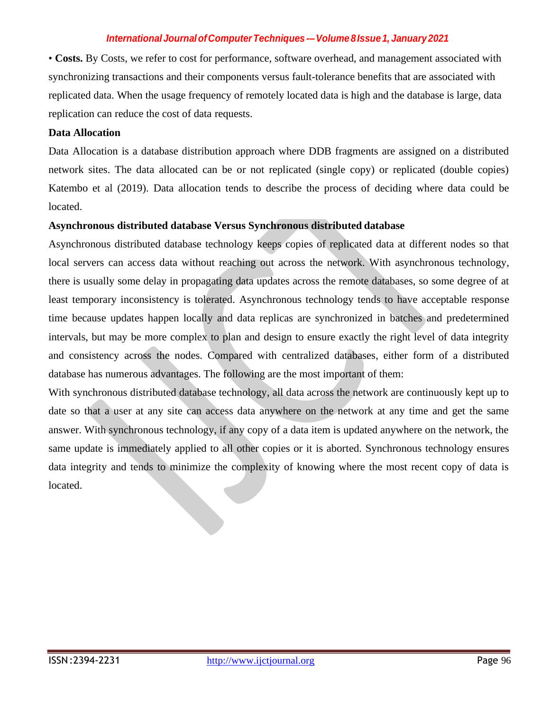• **Costs.** By Costs, we refer to cost for performance, software overhead, and management associated with synchronizing transactions and their components versus fault-tolerance benefits that are associated with replicated data. When the usage frequency of remotely located data is high and the database is large, data replication can reduce the cost of data requests.

#### **Data Allocation**

Data Allocation is a database distribution approach where DDB fragments are assigned on a distributed network sites. The data allocated can be or not replicated (single copy) or replicated (double copies) Katembo et al (2019). Data allocation tends to describe the process of deciding where data could be located.

#### **Asynchronous distributed database Versus Synchronous distributed database**

Asynchronous distributed database technology keeps copies of replicated data at different nodes so that local servers can access data without reaching out across the network. With asynchronous technology, there is usually some delay in propagating data updates across the remote databases, so some degree of at least temporary inconsistency is tolerated. Asynchronous technology tends to have acceptable response time because updates happen locally and data replicas are synchronized in batches and predetermined intervals, but may be more complex to plan and design to ensure exactly the right level of data integrity and consistency across the nodes. Compared with centralized databases, either form of a distributed database has numerous advantages. The following are the most important of them:

With synchronous distributed database technology, all data across the network are continuously kept up to date so that a user at any site can access data anywhere on the network at any time and get the same answer. With synchronous technology, if any copy of a data item is updated anywhere on the network, the same update is immediately applied to all other copies or it is aborted. Synchronous technology ensures data integrity and tends to minimize the complexity of knowing where the most recent copy of data is located.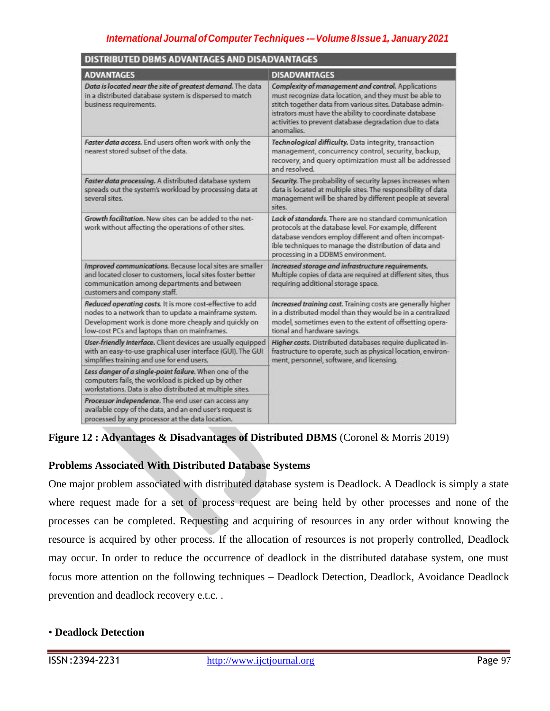| <b>ADVANTAGES</b>                                                                                                                                                                                                          | <b>DISADVANTAGES</b>                                                                                                                                                                                                                                                                                       |
|----------------------------------------------------------------------------------------------------------------------------------------------------------------------------------------------------------------------------|------------------------------------------------------------------------------------------------------------------------------------------------------------------------------------------------------------------------------------------------------------------------------------------------------------|
| Data is located near the site of greatest demand. The data<br>in a distributed database system is dispersed to match<br>business requirements.                                                                             | Complexity of management and control. Applications<br>must recognize data location, and they must be able to<br>stitch together data from various sites. Database admin-<br>istrators must have the ability to coordinate database<br>activities to prevent database degradation due to data<br>anomalies. |
| Faster data access. End users often work with only the<br>nearest stored subset of the data.                                                                                                                               | Technological difficulty. Data integrity, transaction<br>management, concurrency control, security, backup,<br>recovery, and query optimization must all be addressed<br>and resolved.                                                                                                                     |
| Faster data processing. A distributed database system<br>spreads out the system's workload by processing data at<br>several sites.                                                                                         | Security. The probability of security lapses increases when<br>data is located at multiple sites. The responsibility of data<br>management will be shared by different people at several<br>sites.                                                                                                         |
| Growth facilitation. New sites can be added to the net-<br>work without affecting the operations of other sites.                                                                                                           | Lack of standards. There are no standard communication<br>protocols at the database level. For example, different<br>database vendors employ different and often incompat-<br>ible techniques to manage the distribution of data and<br>processing in a DDBMS environment.                                 |
| Improved communications. Because local sites are smaller<br>and located closer to customers, local sites foster better<br>communication among departments and between<br>customers and company staff.                      | Increased storage and infrastructure requirements.<br>Multiple copies of data are required at different sites, thus<br>requiring additional storage space.                                                                                                                                                 |
| Reduced operating costs. It is more cost-effective to add<br>nodes to a network than to update a mainframe system.<br>Development work is done more cheaply and quickly on<br>low-cost PCs and laptops than on mainframes. | Increased training cost. Training costs are generally higher<br>in a distributed model than they would be in a centralized<br>model, sometimes even to the extent of offsetting opera-<br>tional and hardware savings.                                                                                     |
| User-friendly interface. Client devices are usually equipped<br>with an easy-to-use graphical user interface (GUI). The GUI<br>simplifies training and use for end users.                                                  | Higher costs. Distributed databases require duplicated in-<br>frastructure to operate, such as physical location, environ-<br>ment, personnel, software, and licensing.                                                                                                                                    |
| Less danger of a single-point failure. When one of the<br>computers fails, the workload is picked up by other<br>workstations. Data is also distributed at multiple sites.                                                 |                                                                                                                                                                                                                                                                                                            |
| Processor independence. The end user can access any<br>available copy of the data, and an end user's request is<br>processed by any processor at the data location.                                                        |                                                                                                                                                                                                                                                                                                            |

#### DISTRIRUTED DRMS ADVANTAGES AND DISADVANTAGES

**Figure 12 : Advantages & Disadvantages of Distributed DBMS** (Coronel & Morris 2019)

# **Problems Associated With Distributed Database Systems**

One major problem associated with distributed database system is Deadlock. A Deadlock is simply a state where request made for a set of process request are being held by other processes and none of the processes can be completed. Requesting and acquiring of resources in any order without knowing the resource is acquired by other process. If the allocation of resources is not properly controlled, Deadlock may occur. In order to reduce the occurrence of deadlock in the distributed database system, one must focus more attention on the following techniques – Deadlock Detection, Deadlock, Avoidance Deadlock prevention and deadlock recovery e.t.c. .

# • **Deadlock Detection**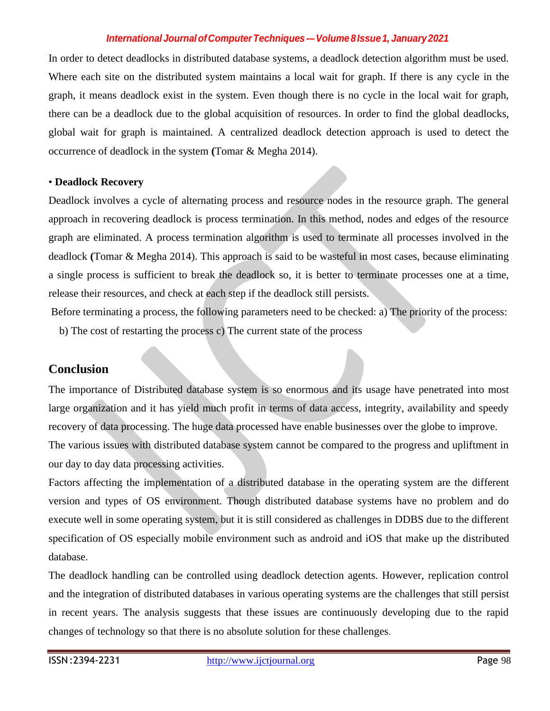In order to detect deadlocks in distributed database systems, a deadlock detection algorithm must be used. Where each site on the distributed system maintains a local wait for graph. If there is any cycle in the graph, it means deadlock exist in the system. Even though there is no cycle in the local wait for graph, there can be a deadlock due to the global acquisition of resources. In order to find the global deadlocks, global wait for graph is maintained. A centralized deadlock detection approach is used to detect the occurrence of deadlock in the system **(**Tomar & Megha 2014).

### • **Deadlock Recovery**

Deadlock involves a cycle of alternating process and resource nodes in the resource graph. The general approach in recovering deadlock is process termination. In this method, nodes and edges of the resource graph are eliminated. A process termination algorithm is used to terminate all processes involved in the deadlock **(**Tomar & Megha 2014). This approach is said to be wasteful in most cases, because eliminating a single process is sufficient to break the deadlock so, it is better to terminate processes one at a time, release their resources, and check at each step if the deadlock still persists.

Before terminating a process, the following parameters need to be checked: a) The priority of the process: b) The cost of restarting the process c) The current state of the process

# **Conclusion**

The importance of Distributed database system is so enormous and its usage have penetrated into most large organization and it has yield much profit in terms of data access, integrity, availability and speedy recovery of data processing. The huge data processed have enable businesses over the globe to improve. The various issues with distributed database system cannot be compared to the progress and upliftment in

our day to day data processing activities.

Factors affecting the implementation of a distributed database in the operating system are the different version and types of OS environment. Though distributed database systems have no problem and do execute well in some operating system, but it is still considered as challenges in DDBS due to the different specification of OS especially mobile environment such as android and iOS that make up the distributed database.

The deadlock handling can be controlled using deadlock detection agents. However, replication control and the integration of distributed databases in various operating systems are the challenges that still persist in recent years. The analysis suggests that these issues are continuously developing due to the rapid changes of technology so that there is no absolute solution for these challenges.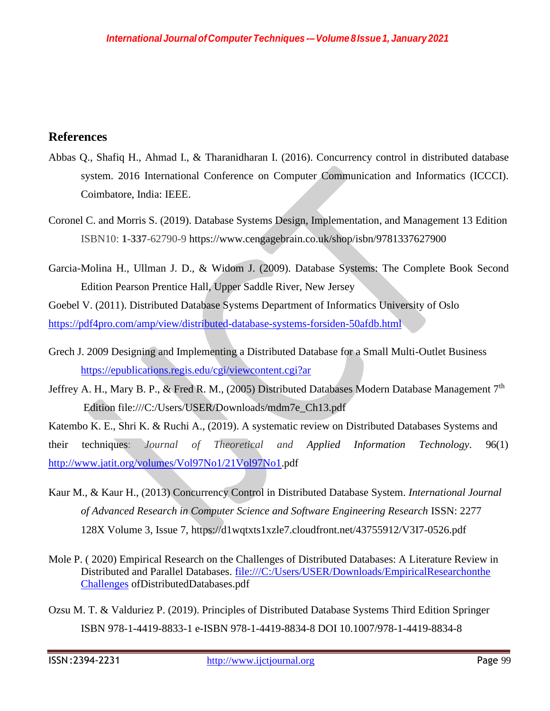# **References**

- Abbas Q., Shafiq H., Ahmad I., & Tharanidharan I. (2016). Concurrency control in distributed database system. 2016 International Conference on Computer Communication and Informatics (ICCCI). Coimbatore, India: IEEE.
- Coronel C. and Morris S. (2019). Database Systems Design, Implementation, and Management 13 Edition ISBN10: **1-337**-62790-9 https:[//www.cengagebrain.co.uk/shop/isbn/9781337627900](http://www.cengagebrain.co.uk/shop/isbn/9781337627900)
- Garcia-Molina H., Ullman J. D., & Widom J. (2009). Database Systems: The Complete Book Second Edition Pearson Prentice Hall, Upper Saddle River, New Jersey

Goebel V. (2011). Distributed Database Systems Department of Informatics University of Oslo <https://pdf4pro.com/amp/view/distributed-database-systems-forsiden-50afdb.html>

- Grech J. 2009 Designing and Implementing a Distributed Database for a Small Multi-Outlet Business <https://epublications.regis.edu/cgi/viewcontent.cgi?ar>
- Jeffrey A. H., Mary B. P., & Fred R. M., (2005) Distributed Databases Modern Database Management 7th Edition file:///C:/Users/USER/Downloads/mdm7e\_Ch13.pdf

Katembo K. E., Shri K. & Ruchi A., (2019). A systematic review on Distributed Databases Systems and their techniques: *Journal of Theoretical and Applied Information Technology*. 96(1) [http://www.jatit.org/volumes/Vol97No1/21Vol97No1.](http://www.jatit.org/volumes/Vol97No1/21Vol97No1)pdf

- Kaur M., & Kaur H., (2013) Concurrency Control in Distributed Database System. *International Journal of Advanced Research in Computer Science and Software Engineering Research* ISSN: 2277 128X Volume 3, Issue 7, https://d1wqtxts1xzle7.cloudfront.net/43755912/V3I7-0526.pdf
- Mole P. ( 2020) Empirical Research on the Challenges of Distributed Databases: A Literature Review in Distributed and Parallel Databases. file:///C:/Users/USER/Downloads/EmpiricalResearchonthe Challenges ofDistributedDatabases.pdf
- Ozsu M. T. & Valduriez P. (2019). Principles of Distributed Database Systems Third Edition Springer ISBN 978-1-4419-8833-1 e-ISBN 978-1-4419-8834-8 DOI 10.1007/978-1-4419-8834-8